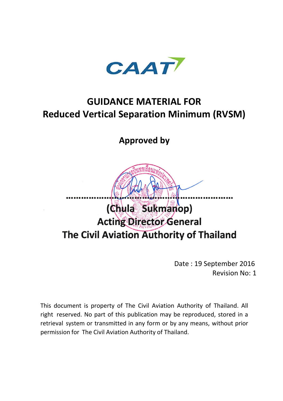

# **GUIDANCE MATERIAL FOR Reduced Vertical Separation Minimum (RVSM)**

**Approved by**



Date : 19 September 2016 Revision No: 1

This document is property of The Civil Aviation Authority of Thailand. All right reserved. No part of this publication may be reproduced, stored in a retrieval system or transmitted in any form or by any means, without prior permission for The Civil Aviation Authority of Thailand.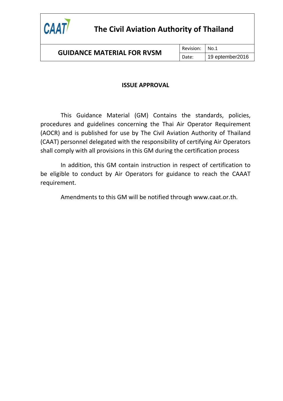

### **GUIDANCE MATERIAL FOR RVSM**

### **ISSUE APPROVAL**

This Guidance Material (GM) Contains the standards, policies, procedures and guidelines concerning the Thai Air Operator Requirement (AOCR) and is published for use by The Civil Aviation Authority of Thailand (CAAT) personnel delegated with the responsibility of certifying Air Operators shall comply with all provisions in this GM during the certification process

In addition, this GM contain instruction in respect of certification to be eligible to conduct by Air Operators for guidance to reach the CAAAT requirement.

Amendments to this GM will be notified through www.caat.or.th.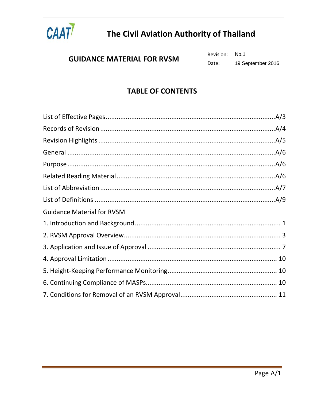

### **GUIDANCE MATERIAL FOR RVSM**

### **TABLE OF CONTENTS**

| <b>Guidance Material for RVSM</b> |  |
|-----------------------------------|--|
|                                   |  |
|                                   |  |
|                                   |  |
|                                   |  |
|                                   |  |
|                                   |  |
|                                   |  |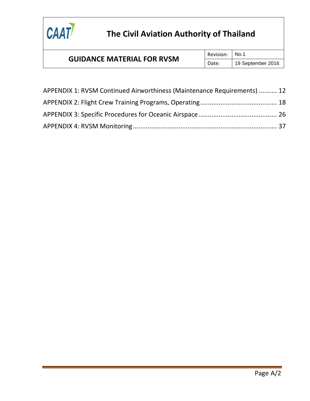

#### **GUIDANCE MATERIAL FOR RVSM** Revision: No.1 Date: | 19 September 2016

| APPENDIX 1: RVSM Continued Airworthiness (Maintenance Requirements)  12 |  |
|-------------------------------------------------------------------------|--|
|                                                                         |  |
|                                                                         |  |
|                                                                         |  |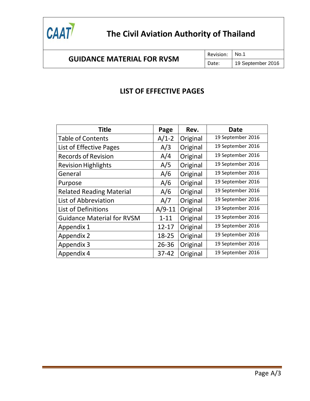

Revision: | No.1

### **LIST OF EFFECTIVE PAGES**

| <b>Title</b>                      | Page      | Rev.     | <b>Date</b>       |
|-----------------------------------|-----------|----------|-------------------|
| <b>Table of Contents</b>          | $A/1-2$   | Original | 19 September 2016 |
| List of Effective Pages           | A/3       | Original | 19 September 2016 |
| <b>Records of Revision</b>        | A/4       | Original | 19 September 2016 |
| <b>Revision Highlights</b>        | A/5       | Original | 19 September 2016 |
| General                           | A/6       | Original | 19 September 2016 |
| Purpose                           | A/6       | Original | 19 September 2016 |
| <b>Related Reading Material</b>   | A/6       | Original | 19 September 2016 |
| List of Abbreviation              | A/7       | Original | 19 September 2016 |
| List of Definitions               | $A/9-11$  | Original | 19 September 2016 |
| <b>Guidance Material for RVSM</b> | $1 - 11$  | Original | 19 September 2016 |
| Appendix 1                        | $12 - 17$ | Original | 19 September 2016 |
| Appendix 2                        | 18-25     | Original | 19 September 2016 |
| Appendix 3                        | $26 - 36$ | Original | 19 September 2016 |
| Appendix 4                        | $37 - 42$ | Original | 19 September 2016 |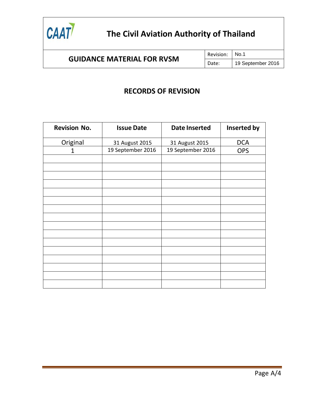

Revision: | No.1

Date: | 19 September 2016

### **RECORDS OF REVISION**

| <b>Revision No.</b> | <b>Issue Date</b> | <b>Date Inserted</b> | Inserted by |
|---------------------|-------------------|----------------------|-------------|
| Original            | 31 August 2015    | 31 August 2015       | <b>DCA</b>  |
| 1                   | 19 September 2016 | 19 September 2016    | <b>OPS</b>  |
|                     |                   |                      |             |
|                     |                   |                      |             |
|                     |                   |                      |             |
|                     |                   |                      |             |
|                     |                   |                      |             |
|                     |                   |                      |             |
|                     |                   |                      |             |
|                     |                   |                      |             |
|                     |                   |                      |             |
|                     |                   |                      |             |
|                     |                   |                      |             |
|                     |                   |                      |             |
|                     |                   |                      |             |
|                     |                   |                      |             |
|                     |                   |                      |             |
|                     |                   |                      |             |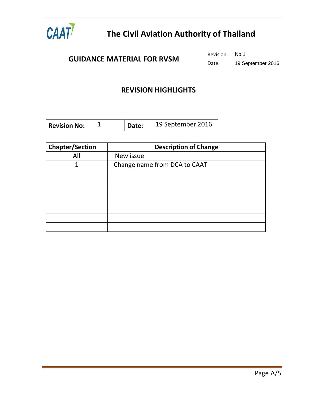

Revision: | No.1

Date: | 19 September 2016

### **REVISION HIGHLIGHTS**

| 19 September 2016<br><b>Revision No:</b><br>Date: |
|---------------------------------------------------|
|---------------------------------------------------|

| <b>Chapter/Section</b> | <b>Description of Change</b> |
|------------------------|------------------------------|
| All                    | New issue                    |
| 1                      | Change name from DCA to CAAT |
|                        |                              |
|                        |                              |
|                        |                              |
|                        |                              |
|                        |                              |
|                        |                              |
|                        |                              |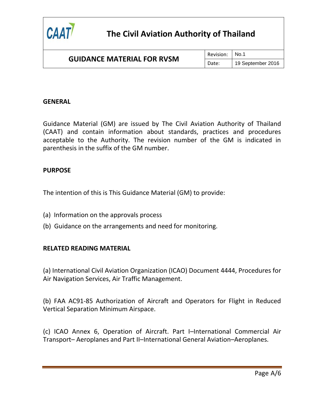

| <b>GUIDANCE MATERIAL FOR RVSM</b> | Revision: No.1 |                   |
|-----------------------------------|----------------|-------------------|
|                                   | Date:          | 19 September 2016 |

#### <span id="page-7-0"></span>**GENERAL**

Guidance Material (GM) are issued by The Civil Aviation Authority of Thailand (CAAT) and contain information about standards, practices and procedures acceptable to the Authority. The revision number of the GM is indicated in parenthesis in the suffix of the GM number.

#### <span id="page-7-1"></span>**PURPOSE**

The intention of this is This Guidance Material (GM) to provide:

- (a) Information on the approvals process
- (b) Guidance on the arrangements and need for monitoring.

### <span id="page-7-2"></span>**RELATED READING MATERIAL**

(a) International Civil Aviation Organization (ICAO) Document 4444, Procedures for Air Navigation Services, Air Traffic Management.

(b) FAA AC91-85 Authorization of Aircraft and Operators for Flight in Reduced Vertical Separation Minimum Airspace.

(c) ICAO Annex 6, Operation of Aircraft. Part I–International Commercial Air Transport– Aeroplanes and Part II–International General Aviation–Aeroplanes.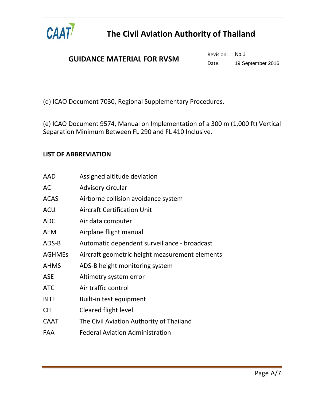

(d) ICAO Document 7030, Regional Supplementary Procedures.

(e) ICAO Document 9574, Manual on Implementation of a 300 m (1,000 ft) Vertical Separation Minimum Between FL 290 and FL 410 Inclusive.

### <span id="page-8-0"></span>**LIST OF ABBREVIATION**

| AAD         | Assigned altitude deviation                    |
|-------------|------------------------------------------------|
| AC          | Advisory circular                              |
| ACAS        | Airborne collision avoidance system            |
| ACU         | <b>Aircraft Certification Unit</b>             |
| ADC         | Air data computer                              |
| AFM         | Airplane flight manual                         |
| ADS-B       | Automatic dependent surveillance - broadcast   |
| AGHMEs      | Aircraft geometric height measurement elements |
| AHMS        | ADS-B height monitoring system                 |
| ASE         | Altimetry system error                         |
| ATC         | Air traffic control                            |
| <b>BITE</b> | Built-in test equipment                        |
| <b>CFL</b>  | Cleared flight level                           |
| CAAT        | The Civil Aviation Authority of Thailand       |
| FAA         | <b>Federal Aviation Administration</b>         |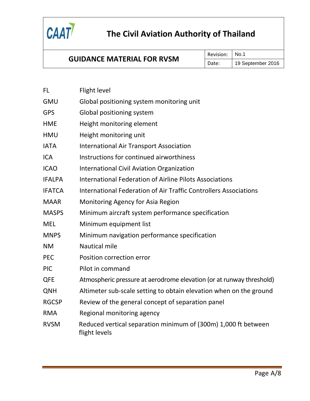

### **GUIDANCE MATERIAL FOR RVSM**

Revision: No.1

Date: | 19 September 2016

| FL            | Flight level                                                                    |
|---------------|---------------------------------------------------------------------------------|
| GMU           | Global positioning system monitoring unit                                       |
| GPS           | Global positioning system                                                       |
| HME           | Height monitoring element                                                       |
| HMU           | Height monitoring unit                                                          |
| <b>IATA</b>   | <b>International Air Transport Association</b>                                  |
| <b>ICA</b>    | Instructions for continued airworthiness                                        |
| <b>ICAO</b>   | <b>International Civil Aviation Organization</b>                                |
| <b>IFALPA</b> | <b>International Federation of Airline Pilots Associations</b>                  |
| <b>IFATCA</b> | <b>International Federation of Air Traffic Controllers Associations</b>         |
| <b>MAAR</b>   | Monitoring Agency for Asia Region                                               |
| <b>MASPS</b>  | Minimum aircraft system performance specification                               |
| <b>MEL</b>    | Minimum equipment list                                                          |
| <b>MNPS</b>   | Minimum navigation performance specification                                    |
| <b>NM</b>     | <b>Nautical mile</b>                                                            |
| PEC           | Position correction error                                                       |
| <b>PIC</b>    | Pilot in command                                                                |
| QFE           | Atmospheric pressure at aerodrome elevation (or at runway threshold)            |
| QNH           | Altimeter sub-scale setting to obtain elevation when on the ground              |
| <b>RGCSP</b>  | Review of the general concept of separation panel                               |
| <b>RMA</b>    | Regional monitoring agency                                                      |
| <b>RVSM</b>   | Reduced vertical separation minimum of (300m) 1,000 ft between<br>flight levels |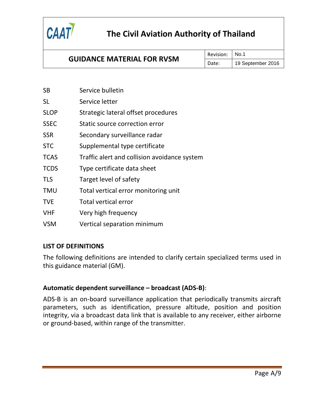

### **GUIDANCE MATERIAL FOR RVSM**

Revision: No.1

Date: | 19 September 2016

| SB          | Service bulletin                             |
|-------------|----------------------------------------------|
| SL          | Service letter                               |
| <b>SLOP</b> | Strategic lateral offset procedures          |
| SSEC        | Static source correction error               |
| SSR         | Secondary surveillance radar                 |
| <b>STC</b>  | Supplemental type certificate                |
| <b>TCAS</b> | Traffic alert and collision avoidance system |
| <b>TCDS</b> | Type certificate data sheet                  |
| <b>TLS</b>  | Target level of safety                       |
| TMU         | Total vertical error monitoring unit         |
| <b>TVE</b>  | <b>Total vertical error</b>                  |
| VHF         | Very high frequency                          |
| VSM         | Vertical separation minimum                  |

### <span id="page-10-0"></span>**LIST OF DEFINITIONS**

The following definitions are intended to clarify certain specialized terms used in this guidance material (GM).

### **Automatic dependent surveillance – broadcast (ADS-B)**:

ADS-B is an on-board surveillance application that periodically transmits aircraft parameters, such as identification, pressure altitude, position and position integrity, via a broadcast data link that is available to any receiver, either airborne or ground-based, within range of the transmitter.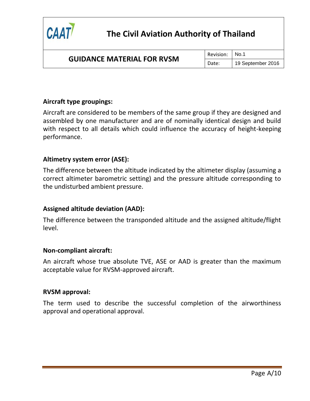

### **GUIDANCE MATERIAL FOR RVSM**

Revision: No.1

Date: | 19 September 2016

### **Aircraft type groupings:**

Aircraft are considered to be members of the same group if they are designed and assembled by one manufacturer and are of nominally identical design and build with respect to all details which could influence the accuracy of height-keeping performance.

#### **Altimetry system error (ASE):**

The difference between the altitude indicated by the altimeter display (assuming a correct altimeter barometric setting) and the pressure altitude corresponding to the undisturbed ambient pressure.

#### **Assigned altitude deviation (AAD):**

The difference between the transponded altitude and the assigned altitude/flight level.

#### **Non-compliant aircraft:**

An aircraft whose true absolute TVE, ASE or AAD is greater than the maximum acceptable value for RVSM-approved aircraft.

#### **RVSM approval:**

The term used to describe the successful completion of the airworthiness approval and operational approval.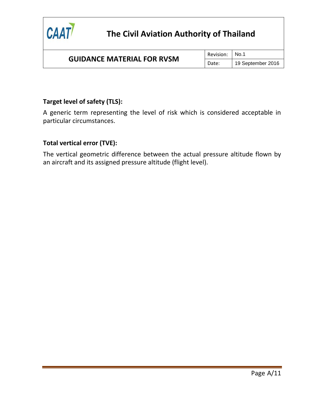

### **GUIDANCE MATERIAL FOR RVSM**

Revision: | No.1

Date: | 19 September 2016

### **Target level of safety (TLS):**

A generic term representing the level of risk which is considered acceptable in particular circumstances.

### **Total vertical error (TVE):**

The vertical geometric difference between the actual pressure altitude flown by an aircraft and its assigned pressure altitude (flight level).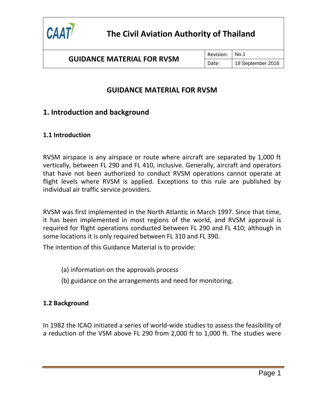

Revision: No.1 Date: | 19 September 2016

### **GUIDANCE MATERIAL FOR RVSM**

### <span id="page-13-0"></span>**1. Introduction and background**

### **1.1 Introduction**

RVSM airspace is any airspace or route where aircraft are separated by 1,000 ft vertically, between FL 290 and FL 410, inclusive. Generally, aircraft and operators that have not been authorized to conduct RVSM operations cannot operate at flight levels where RVSM is applied. Exceptions to this rule are published by individual air traffic service providers.

RVSM was first implemented in the North Atlantic in March 1997. Since that time, it has been implemented in most regions of the world, and RVSM approval is required for flight operations conducted between FL 290 and FL 410; although in some locations it is only required between FL 310 and FL 390.

The intention of this Guidance Material is to provide:

- (a) information on the approvals process
- (b) guidance on the arrangements and need for monitoring.

### **1.2 Background**

In 1982 the ICAO initiated a series of world-wide studies to assess the feasibility of a reduction of the VSM above FL 290 from 2,000 ft to 1,000 ft. The studies were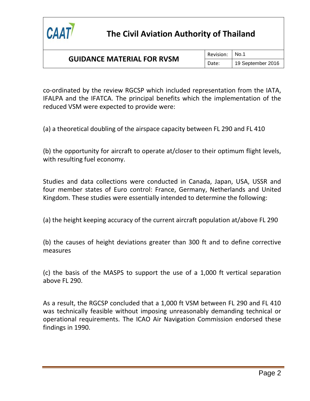

### **GUIDANCE MATERIAL FOR RVSM**

Revision: No.1

Date: | 19 September 2016

co-ordinated by the review RGCSP which included representation from the IATA, IFALPA and the IFATCA. The principal benefits which the implementation of the reduced VSM were expected to provide were:

(a) a theoretical doubling of the airspace capacity between FL 290 and FL 410

(b) the opportunity for aircraft to operate at/closer to their optimum flight levels, with resulting fuel economy.

Studies and data collections were conducted in Canada, Japan, USA, USSR and four member states of Euro control: France, Germany, Netherlands and United Kingdom. These studies were essentially intended to determine the following:

(a) the height keeping accuracy of the current aircraft population at/above FL 290

(b) the causes of height deviations greater than 300 ft and to define corrective measures

(c) the basis of the MASPS to support the use of a 1,000 ft vertical separation above FL 290.

As a result, the RGCSP concluded that a 1,000 ft VSM between FL 290 and FL 410 was technically feasible without imposing unreasonably demanding technical or operational requirements. The ICAO Air Navigation Commission endorsed these findings in 1990.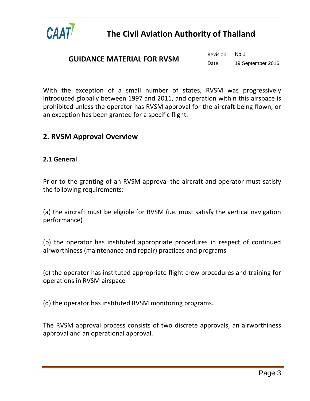

### **GUIDANCE MATERIAL FOR RVSM**

Revision: No.1

Date: | 19 September 2016

With the exception of a small number of states, RVSM was progressively introduced globally between 1997 and 2011, and operation within this airspace is prohibited unless the operator has RVSM approval for the aircraft being flown, or an exception has been granted for a specific flight.

### <span id="page-15-0"></span>**2. RVSM Approval Overview**

#### **2.1 General**

Prior to the granting of an RVSM approval the aircraft and operator must satisfy the following requirements:

(a) the aircraft must be eligible for RVSM (i.e. must satisfy the vertical navigation performance)

(b) the operator has instituted appropriate procedures in respect of continued airworthiness (maintenance and repair) practices and programs

(c) the operator has instituted appropriate flight crew procedures and training for operations in RVSM airspace

(d) the operator has instituted RVSM monitoring programs.

The RVSM approval process consists of two discrete approvals, an airworthiness approval and an operational approval.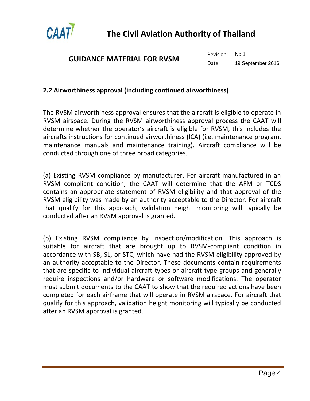

### **2.2 Airworthiness approval (including continued airworthiness)**

The RVSM airworthiness approval ensures that the aircraft is eligible to operate in RVSM airspace. During the RVSM airworthiness approval process the CAAT will determine whether the operator's aircraft is eligible for RVSM, this includes the aircrafts instructions for continued airworthiness (ICA) (i.e. maintenance program, maintenance manuals and maintenance training). Aircraft compliance will be conducted through one of three broad categories.

(a) Existing RVSM compliance by manufacturer. For aircraft manufactured in an RVSM compliant condition, the CAAT will determine that the AFM or TCDS contains an appropriate statement of RVSM eligibility and that approval of the RVSM eligibility was made by an authority acceptable to the Director. For aircraft that qualify for this approach, validation height monitoring will typically be conducted after an RVSM approval is granted.

(b) Existing RVSM compliance by inspection/modification. This approach is suitable for aircraft that are brought up to RVSM-compliant condition in accordance with SB, SL, or STC, which have had the RVSM eligibility approved by an authority acceptable to the Director. These documents contain requirements that are specific to individual aircraft types or aircraft type groups and generally require inspections and/or hardware or software modifications. The operator must submit documents to the CAAT to show that the required actions have been completed for each airframe that will operate in RVSM airspace. For aircraft that qualify for this approach, validation height monitoring will typically be conducted after an RVSM approval is granted.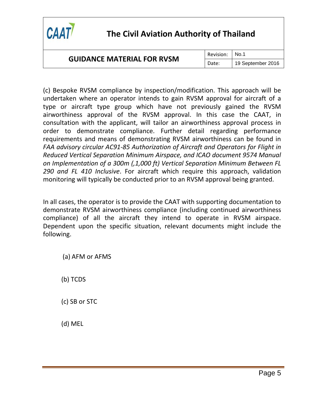

### **GUIDANCE MATERIAL FOR RVSM**

Revision: No.1

Date: | 19 September 2016

(c) Bespoke RVSM compliance by inspection/modification. This approach will be undertaken where an operator intends to gain RVSM approval for aircraft of a type or aircraft type group which have not previously gained the RVSM airworthiness approval of the RVSM approval. In this case the CAAT, in consultation with the applicant, will tailor an airworthiness approval process in order to demonstrate compliance. Further detail regarding performance requirements and means of demonstrating RVSM airworthiness can be found in *FAA advisory circular AC91-85 Authorization of Aircraft and Operators for Flight in Reduced Vertical Separation Minimum Airspace, and ICAO document 9574 Manual on Implementation of a 300m (,1,000 ft) Vertical Separation Minimum Between FL 290 and FL 410 Inclusive*. For aircraft which require this approach, validation monitoring will typically be conducted prior to an RVSM approval being granted.

In all cases, the operator is to provide the CAAT with supporting documentation to demonstrate RVSM airworthiness compliance (including continued airworthiness compliance) of all the aircraft they intend to operate in RVSM airspace. Dependent upon the specific situation, relevant documents might include the following.

(a) AFM or AFMS

(b) TCDS

(c) SB or STC

(d) MEL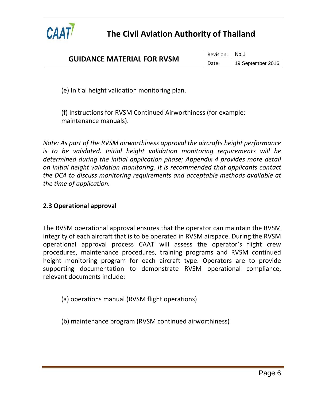

(e) Initial height validation monitoring plan.

(f) Instructions for RVSM Continued Airworthiness (for example: maintenance manuals).

*Note: As part of the RVSM airworthiness approval the aircrafts height performance is to be validated. Initial height validation monitoring requirements will be determined during the initial application phase; Appendix 4 provides more detail on initial height validation monitoring. It is recommended that applicants contact the DCA to discuss monitoring requirements and acceptable methods available at the time of application.*

### **2.3 Operational approval**

The RVSM operational approval ensures that the operator can maintain the RVSM integrity of each aircraft that is to be operated in RVSM airspace. During the RVSM operational approval process CAAT will assess the operator's flight crew procedures, maintenance procedures, training programs and RVSM continued height monitoring program for each aircraft type. Operators are to provide supporting documentation to demonstrate RVSM operational compliance, relevant documents include:

(a) operations manual (RVSM flight operations)

(b) maintenance program (RVSM continued airworthiness)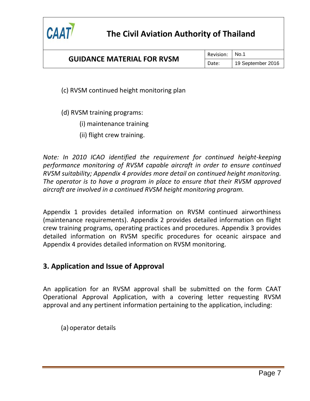

Revision: No.1

Date: | 19 September 2016

(c) RVSM continued height monitoring plan

(d) RVSM training programs:

- (i) maintenance training
- (ii) flight crew training.

*Note: In 2010 ICAO identified the requirement for continued height-keeping performance monitoring of RVSM capable aircraft in order to ensure continued RVSM suitability; Appendix 4 provides more detail on continued height monitoring. The operator is to have a program in place to ensure that their RVSM approved aircraft are involved in a continued RVSM height monitoring program.*

Appendix 1 provides detailed information on RVSM continued airworthiness (maintenance requirements). Appendix 2 provides detailed information on flight crew training programs, operating practices and procedures. Appendix 3 provides detailed information on RVSM specific procedures for oceanic airspace and Appendix 4 provides detailed information on RVSM monitoring.

### <span id="page-19-0"></span>**3. Application and Issue of Approval**

An application for an RVSM approval shall be submitted on the form CAAT Operational Approval Application, with a covering letter requesting RVSM approval and any pertinent information pertaining to the application, including:

(a) operator details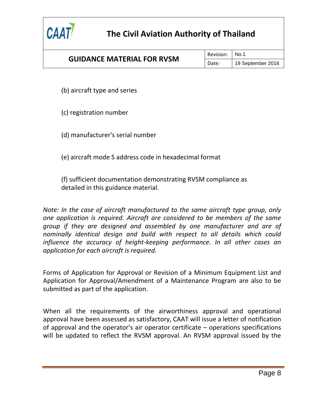

### **GUIDANCE MATERIAL FOR RVSM**

Revision: No.1

Date: | 19 September 2016

(b) aircraft type and series

(c) registration number

(d) manufacturer's serial number

(e) aircraft mode S address code in hexadecimal format

(f) sufficient documentation demonstrating RVSM compliance as detailed in this guidance material.

*Note: In the case of aircraft manufactured to the same aircraft type group, only one application is required. Aircraft are considered to be members of the same group if they are designed and assembled by one manufacturer and are of nominally identical design and build with respect to all details which could influence the accuracy of height-keeping performance. In all other cases an application for each aircraft is required.*

Forms of Application for Approval or Revision of a Minimum Equipment List and Application for Approval/Amendment of a Maintenance Program are also to be submitted as part of the application.

When all the requirements of the airworthiness approval and operational approval have been assessed as satisfactory, CAAT will issue a letter of notification of approval and the operator's air operator certificate – operations specifications will be updated to reflect the RVSM approval. An RVSM approval issued by the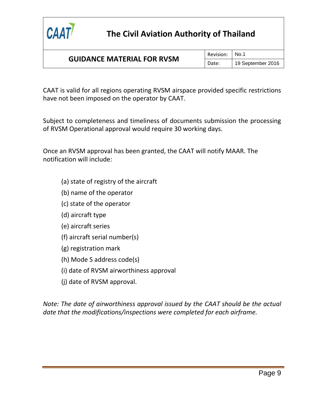

CAAT is valid for all regions operating RVSM airspace provided specific restrictions have not been imposed on the operator by CAAT.

Subject to completeness and timeliness of documents submission the processing of RVSM Operational approval would require 30 working days.

Once an RVSM approval has been granted, the CAAT will notify MAAR. The notification will include:

- (a) state of registry of the aircraft
- (b) name of the operator
- (c) state of the operator
- (d) aircraft type
- (e) aircraft series
- (f) aircraft serial number(s)
- (g) registration mark
- (h) Mode S address code(s)
- (i) date of RVSM airworthiness approval
- (j) date of RVSM approval.

*Note: The date of airworthiness approval issued by the CAAT should be the actual date that the modifications/inspections were completed for each airframe.*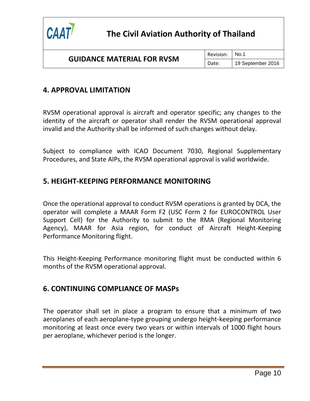

### <span id="page-22-0"></span>**4. APPROVAL LIMITATION**

RVSM operational approval is aircraft and operator specific; any changes to the identity of the aircraft or operator shall render the RVSM operational approval invalid and the Authority shall be informed of such changes without delay.

Subject to compliance with ICAO Document 7030, Regional Supplementary Procedures, and State AIPs, the RVSM operational approval is valid worldwide.

### <span id="page-22-1"></span>**5. HEIGHT-KEEPING PERFORMANCE MONITORING**

Once the operational approval to conduct RVSM operations is granted by DCA, the operator will complete a MAAR Form F2 (USC Form 2 for EUROCONTROL User Support Cell) for the Authority to submit to the RMA (Regional Monitoring Agency), MAAR for Asia region, for conduct of Aircraft Height-Keeping Performance Monitoring flight.

This Height-Keeping Performance monitoring flight must be conducted within 6 months of the RVSM operational approval.

### <span id="page-22-2"></span>**6. CONTINUING COMPLIANCE OF MASPs**

The operator shall set in place a program to ensure that a minimum of two aeroplanes of each aeroplane-type grouping undergo height-keeping performance monitoring at least once every two years or within intervals of 1000 flight hours per aeroplane, whichever period is the longer.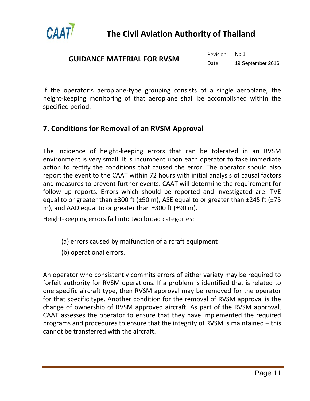

Revision: No.1

Date: | 19 September 2016

If the operator's aeroplane-type grouping consists of a single aeroplane, the height-keeping monitoring of that aeroplane shall be accomplished within the specified period.

### <span id="page-23-0"></span>**7. Conditions for Removal of an RVSM Approval**

The incidence of height-keeping errors that can be tolerated in an RVSM environment is very small. It is incumbent upon each operator to take immediate action to rectify the conditions that caused the error. The operator should also report the event to the CAAT within 72 hours with initial analysis of causal factors and measures to prevent further events. CAAT will determine the requirement for follow up reports. Errors which should be reported and investigated are: TVE equal to or greater than  $\pm 300$  ft ( $\pm 90$  m), ASE equal to or greater than  $\pm 245$  ft ( $\pm 75$ m), and AAD equal to or greater than ±300 ft (±90 m).

Height-keeping errors fall into two broad categories:

- (a) errors caused by malfunction of aircraft equipment
- (b) operational errors.

An operator who consistently commits errors of either variety may be required to forfeit authority for RVSM operations. If a problem is identified that is related to one specific aircraft type, then RVSM approval may be removed for the operator for that specific type. Another condition for the removal of RVSM approval is the change of ownership of RVSM approved aircraft. As part of the RVSM approval, CAAT assesses the operator to ensure that they have implemented the required programs and procedures to ensure that the integrity of RVSM is maintained – this cannot be transferred with the aircraft.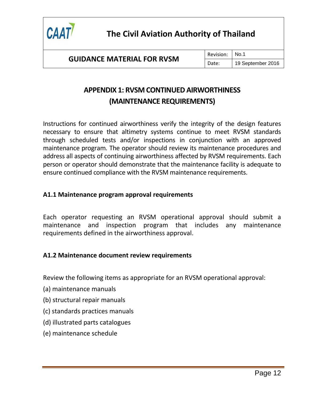

Revision: No.1 Date: | 19 September 2016

### **APPENDIX 1: RVSM CONTINUED AIRWORTHINESS (MAINTENANCE REQUIREMENTS)**

<span id="page-24-0"></span>Instructions for continued airworthiness verify the integrity of the design features necessary to ensure that altimetry systems continue to meet RVSM standards through scheduled tests and/or inspections in conjunction with an approved maintenance program. The operator should review its maintenance procedures and address all aspects of continuing airworthiness affected by RVSM requirements. Each person or operator should demonstrate that the maintenance facility is adequate to ensure continued compliance with the RVSM maintenance requirements.

### **A1.1 Maintenance program approval requirements**

Each operator requesting an RVSM operational approval should submit a maintenance and inspection program that includes any maintenance requirements defined in the airworthiness approval.

### **A1.2 Maintenance document review requirements**

Review the following items as appropriate for an RVSM operational approval:

- (a) maintenance manuals
- (b) structural repair manuals
- (c) standards practices manuals
- (d) illustrated parts catalogues
- (e) maintenance schedule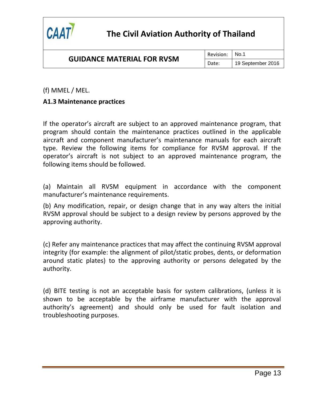

### **GUIDANCE MATERIAL FOR RVSM**

Revision: No.1

Date: | 19 September 2016

### (f) MMEL / MEL.

### **A1.3 Maintenance practices**

If the operator's aircraft are subject to an approved maintenance program, that program should contain the maintenance practices outlined in the applicable aircraft and component manufacturer's maintenance manuals for each aircraft type. Review the following items for compliance for RVSM approval. If the operator's aircraft is not subject to an approved maintenance program, the following items should be followed.

(a) Maintain all RVSM equipment in accordance with the component manufacturer's maintenance requirements.

(b) Any modification, repair, or design change that in any way alters the initial RVSM approval should be subject to a design review by persons approved by the approving authority.

(c) Refer any maintenance practices that may affect the continuing RVSM approval integrity (for example: the alignment of pilot/static probes, dents, or deformation around static plates) to the approving authority or persons delegated by the authority.

(d) BITE testing is not an acceptable basis for system calibrations, (unless it is shown to be acceptable by the airframe manufacturer with the approval authority's agreement) and should only be used for fault isolation and troubleshooting purposes.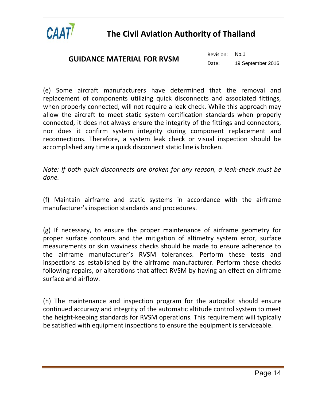

### **GUIDANCE MATERIAL FOR RVSM**

Revision: No.1

Date: | 19 September 2016

(e) Some aircraft manufacturers have determined that the removal and replacement of components utilizing quick disconnects and associated fittings, when properly connected, will not require a leak check. While this approach may allow the aircraft to meet static system certification standards when properly connected, it does not always ensure the integrity of the fittings and connectors, nor does it confirm system integrity during component replacement and reconnections. Therefore, a system leak check or visual inspection should be accomplished any time a quick disconnect static line is broken.

*Note: If both quick disconnects are broken for any reason, a leak-check must be done.*

(f) Maintain airframe and static systems in accordance with the airframe manufacturer's inspection standards and procedures.

(g) If necessary, to ensure the proper maintenance of airframe geometry for proper surface contours and the mitigation of altimetry system error, surface measurements or skin waviness checks should be made to ensure adherence to the airframe manufacturer's RVSM tolerances. Perform these tests and inspections as established by the airframe manufacturer. Perform these checks following repairs, or alterations that affect RVSM by having an effect on airframe surface and airflow.

(h) The maintenance and inspection program for the autopilot should ensure continued accuracy and integrity of the automatic altitude control system to meet the height-keeping standards for RVSM operations. This requirement will typically be satisfied with equipment inspections to ensure the equipment is serviceable.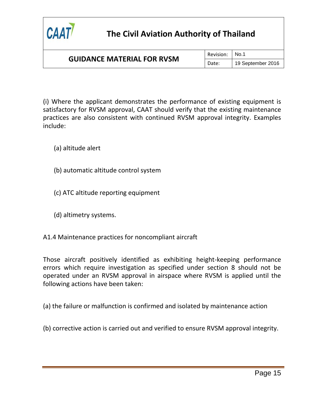

### **GUIDANCE MATERIAL FOR RVSM**

Revision: No.1

Date: | 19 September 2016

(i) Where the applicant demonstrates the performance of existing equipment is satisfactory for RVSM approval, CAAT should verify that the existing maintenance practices are also consistent with continued RVSM approval integrity. Examples include:

(a) altitude alert

- (b) automatic altitude control system
- (c) ATC altitude reporting equipment
- (d) altimetry systems.
- A1.4 Maintenance practices for noncompliant aircraft

Those aircraft positively identified as exhibiting height-keeping performance errors which require investigation as specified under section 8 should not be operated under an RVSM approval in airspace where RVSM is applied until the following actions have been taken:

(a) the failure or malfunction is confirmed and isolated by maintenance action

(b) corrective action is carried out and verified to ensure RVSM approval integrity.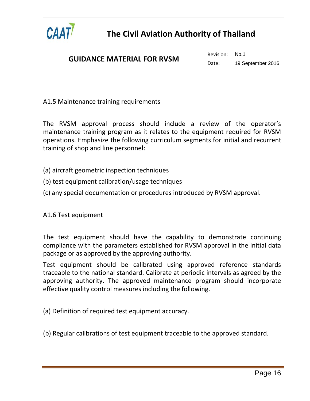

### **GUIDANCE MATERIAL FOR RVSM**

Revision: No.1 Date: | 19 September 2016

A1.5 Maintenance training requirements

The RVSM approval process should include a review of the operator's maintenance training program as it relates to the equipment required for RVSM operations. Emphasize the following curriculum segments for initial and recurrent training of shop and line personnel:

(a) aircraft geometric inspection techniques

- (b) test equipment calibration/usage techniques
- (c) any special documentation or procedures introduced by RVSM approval.

A1.6 Test equipment

The test equipment should have the capability to demonstrate continuing compliance with the parameters established for RVSM approval in the initial data package or as approved by the approving authority.

Test equipment should be calibrated using approved reference standards traceable to the national standard. Calibrate at periodic intervals as agreed by the approving authority. The approved maintenance program should incorporate effective quality control measures including the following.

(a) Definition of required test equipment accuracy.

(b) Regular calibrations of test equipment traceable to the approved standard.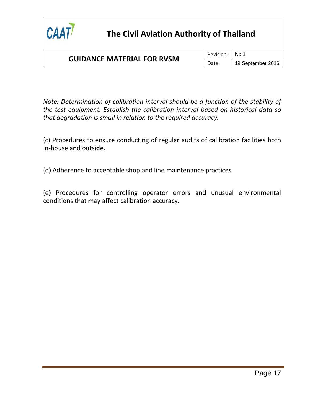

### **GUIDANCE MATERIAL FOR RVSM**

Revision: | No.1

Date: | 19 September 2016

*Note: Determination of calibration interval should be a function of the stability of the test equipment. Establish the calibration interval based on historical data so that degradation is small in relation to the required accuracy.*

(c) Procedures to ensure conducting of regular audits of calibration facilities both in-house and outside.

(d) Adherence to acceptable shop and line maintenance practices.

(e) Procedures for controlling operator errors and unusual environmental conditions that may affect calibration accuracy.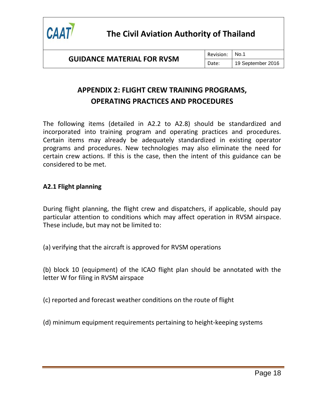

Revision: No.1 Date: | 19 September 2016

### **APPENDIX 2: FLIGHT CREW TRAINING PROGRAMS, OPERATING PRACTICES AND PROCEDURES**

<span id="page-30-0"></span>The following items (detailed in A2.2 to A2.8) should be standardized and incorporated into training program and operating practices and procedures. Certain items may already be adequately standardized in existing operator programs and procedures. New technologies may also eliminate the need for certain crew actions. If this is the case, then the intent of this guidance can be considered to be met.

### **A2.1 Flight planning**

During flight planning, the flight crew and dispatchers, if applicable, should pay particular attention to conditions which may affect operation in RVSM airspace. These include, but may not be limited to:

(a) verifying that the aircraft is approved for RVSM operations

(b) block 10 (equipment) of the ICAO flight plan should be annotated with the letter W for filing in RVSM airspace

(c) reported and forecast weather conditions on the route of flight

(d) minimum equipment requirements pertaining to height-keeping systems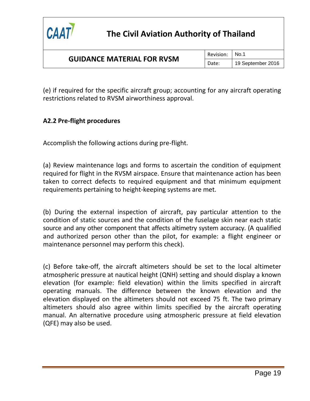

Date: | 19 September 2016

(e) if required for the specific aircraft group; accounting for any aircraft operating restrictions related to RVSM airworthiness approval.

### **A2.2 Pre-flight procedures**

Accomplish the following actions during pre-flight.

(a) Review maintenance logs and forms to ascertain the condition of equipment required for flight in the RVSM airspace. Ensure that maintenance action has been taken to correct defects to required equipment and that minimum equipment requirements pertaining to height-keeping systems are met.

(b) During the external inspection of aircraft, pay particular attention to the condition of static sources and the condition of the fuselage skin near each static source and any other component that affects altimetry system accuracy. (A qualified and authorized person other than the pilot, for example: a flight engineer or maintenance personnel may perform this check).

(c) Before take-off, the aircraft altimeters should be set to the local altimeter atmospheric pressure at nautical height (QNH) setting and should display a known elevation (for example: field elevation) within the limits specified in aircraft operating manuals. The difference between the known elevation and the elevation displayed on the altimeters should not exceed 75 ft. The two primary altimeters should also agree within limits specified by the aircraft operating manual. An alternative procedure using atmospheric pressure at field elevation (QFE) may also be used.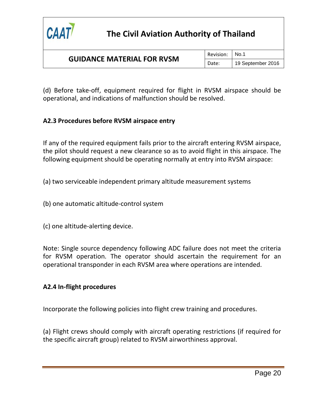

Revision: No.1

Date: | 19 September 2016

(d) Before take-off, equipment required for flight in RVSM airspace should be operational, and indications of malfunction should be resolved.

### **A2.3 Procedures before RVSM airspace entry**

If any of the required equipment fails prior to the aircraft entering RVSM airspace, the pilot should request a new clearance so as to avoid flight in this airspace. The following equipment should be operating normally at entry into RVSM airspace:

- (a) two serviceable independent primary altitude measurement systems
- (b) one automatic altitude-control system
- (c) one altitude-alerting device.

Note: Single source dependency following ADC failure does not meet the criteria for RVSM operation. The operator should ascertain the requirement for an operational transponder in each RVSM area where operations are intended.

### **A2.4 In-flight procedures**

Incorporate the following policies into flight crew training and procedures.

(a) Flight crews should comply with aircraft operating restrictions (if required for the specific aircraft group) related to RVSM airworthiness approval.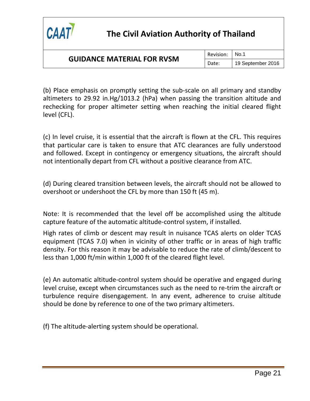

### **GUIDANCE MATERIAL FOR RVSM**

Revision: No.1

Date: | 19 September 2016

(b) Place emphasis on promptly setting the sub-scale on all primary and standby altimeters to 29.92 in.Hg/1013.2 (hPa) when passing the transition altitude and rechecking for proper altimeter setting when reaching the initial cleared flight level (CFL).

(c) In level cruise, it is essential that the aircraft is flown at the CFL. This requires that particular care is taken to ensure that ATC clearances are fully understood and followed. Except in contingency or emergency situations, the aircraft should not intentionally depart from CFL without a positive clearance from ATC.

(d) During cleared transition between levels, the aircraft should not be allowed to overshoot or undershoot the CFL by more than 150 ft (45 m).

Note: It is recommended that the level off be accomplished using the altitude capture feature of the automatic altitude-control system, if installed.

High rates of climb or descent may result in nuisance TCAS alerts on older TCAS equipment (TCAS 7.0) when in vicinity of other traffic or in areas of high traffic density. For this reason it may be advisable to reduce the rate of climb/descent to less than 1,000 ft/min within 1,000 ft of the cleared flight level.

(e) An automatic altitude-control system should be operative and engaged during level cruise, except when circumstances such as the need to re-trim the aircraft or turbulence require disengagement. In any event, adherence to cruise altitude should be done by reference to one of the two primary altimeters.

(f) The altitude-alerting system should be operational.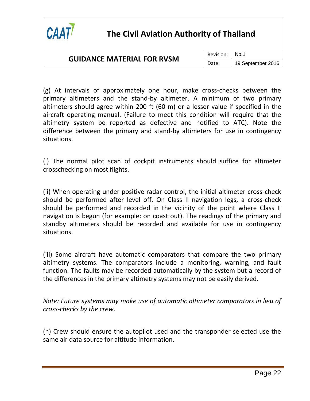

### **GUIDANCE MATERIAL FOR RVSM**

Revision: No.1

Date: | 19 September 2016

(g) At intervals of approximately one hour, make cross-checks between the primary altimeters and the stand-by altimeter. A minimum of two primary altimeters should agree within 200 ft (60 m) or a lesser value if specified in the aircraft operating manual. (Failure to meet this condition will require that the altimetry system be reported as defective and notified to ATC). Note the difference between the primary and stand-by altimeters for use in contingency situations.

(i) The normal pilot scan of cockpit instruments should suffice for altimeter crosschecking on most flights.

(ii) When operating under positive radar control, the initial altimeter cross-check should be performed after level off. On Class II navigation legs, a cross-check should be performed and recorded in the vicinity of the point where Class II navigation is begun (for example: on coast out). The readings of the primary and standby altimeters should be recorded and available for use in contingency situations.

(iii) Some aircraft have automatic comparators that compare the two primary altimetry systems. The comparators include a monitoring, warning, and fault function. The faults may be recorded automatically by the system but a record of the differences in the primary altimetry systems may not be easily derived.

*Note: Future systems may make use of automatic altimeter comparators in lieu of cross-checks by the crew.*

(h) Crew should ensure the autopilot used and the transponder selected use the same air data source for altitude information.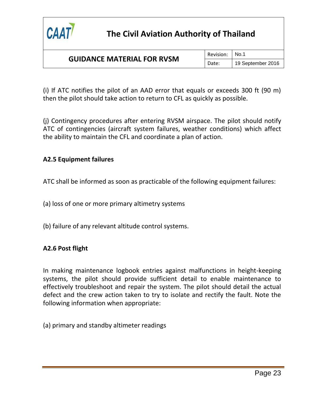

### **GUIDANCE MATERIAL FOR RVSM**

Date: | 19 September 2016

(i) If ATC notifies the pilot of an AAD error that equals or exceeds 300 ft (90 m) then the pilot should take action to return to CFL as quickly as possible.

(j) Contingency procedures after entering RVSM airspace. The pilot should notify ATC of contingencies (aircraft system failures, weather conditions) which affect the ability to maintain the CFL and coordinate a plan of action.

### **A2.5 Equipment failures**

ATC shall be informed as soon as practicable of the following equipment failures:

- (a) loss of one or more primary altimetry systems
- (b) failure of any relevant altitude control systems.

### **A2.6 Post flight**

In making maintenance logbook entries against malfunctions in height-keeping systems, the pilot should provide sufficient detail to enable maintenance to effectively troubleshoot and repair the system. The pilot should detail the actual defect and the crew action taken to try to isolate and rectify the fault. Note the following information when appropriate:

(a) primary and standby altimeter readings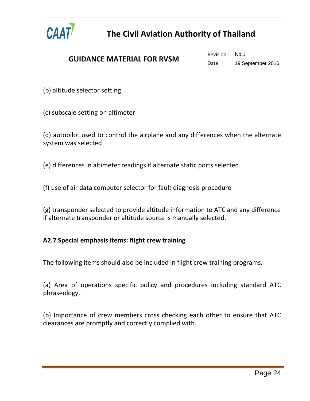

### **GUIDANCE MATERIAL FOR RVSM**

Revision: No.1

Date: | 19 September 2016

(b) altitude selector setting

(c) subscale setting on altimeter

(d) autopilot used to control the airplane and any differences when the alternate system was selected

(e) differences in altimeter readings if alternate static ports selected

(f) use of air data computer selector for fault diagnosis procedure

(g) transponder selected to provide altitude information to ATC and any difference if alternate transponder or altitude source is manually selected.

### **A2.7 Special emphasis items: flight crew training**

The following items should also be included in flight crew training programs.

(a) Area of operations specific policy and procedures including standard ATC phraseology.

(b) Importance of crew members cross checking each other to ensure that ATC clearances are promptly and correctly complied with.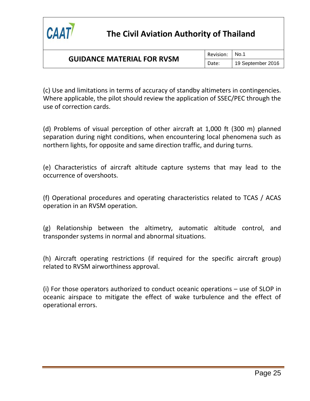

### **GUIDANCE MATERIAL FOR RVSM**

Revision: No.1

Date: | 19 September 2016

(c) Use and limitations in terms of accuracy of standby altimeters in contingencies. Where applicable, the pilot should review the application of SSEC/PEC through the use of correction cards.

(d) Problems of visual perception of other aircraft at 1,000 ft (300 m) planned separation during night conditions, when encountering local phenomena such as northern lights, for opposite and same direction traffic, and during turns.

(e) Characteristics of aircraft altitude capture systems that may lead to the occurrence of overshoots.

(f) Operational procedures and operating characteristics related to TCAS / ACAS operation in an RVSM operation.

(g) Relationship between the altimetry, automatic altitude control, and transponder systems in normal and abnormal situations.

(h) Aircraft operating restrictions (if required for the specific aircraft group) related to RVSM airworthiness approval.

(i) For those operators authorized to conduct oceanic operations – use of SLOP in oceanic airspace to mitigate the effect of wake turbulence and the effect of operational errors.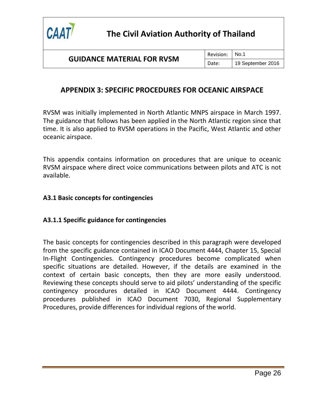

# <span id="page-38-0"></span>**APPENDIX 3: SPECIFIC PROCEDURES FOR OCEANIC AIRSPACE**

RVSM was initially implemented in North Atlantic MNPS airspace in March 1997. The guidance that follows has been applied in the North Atlantic region since that time. It is also applied to RVSM operations in the Pacific, West Atlantic and other oceanic airspace.

This appendix contains information on procedures that are unique to oceanic RVSM airspace where direct voice communications between pilots and ATC is not available.

### **A3.1 Basic concepts for contingencies**

#### **A3.1.1 Specific guidance for contingencies**

The basic concepts for contingencies described in this paragraph were developed from the specific guidance contained in ICAO Document 4444, Chapter 15, Special In-Flight Contingencies. Contingency procedures become complicated when specific situations are detailed. However, if the details are examined in the context of certain basic concepts, then they are more easily understood. Reviewing these concepts should serve to aid pilots' understanding of the specific contingency procedures detailed in ICAO Document 4444. Contingency procedures published in ICAO Document 7030, Regional Supplementary Procedures, provide differences for individual regions of the world.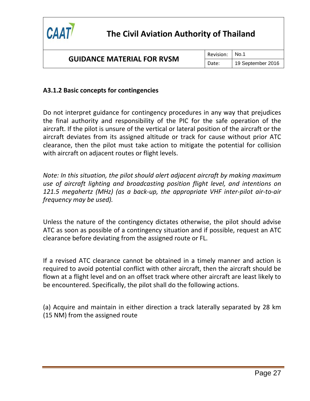

Revision: No.1

Date: | 19 September 2016

### **A3.1.2 Basic concepts for contingencies**

Do not interpret guidance for contingency procedures in any way that prejudices the final authority and responsibility of the PIC for the safe operation of the aircraft. If the pilot is unsure of the vertical or lateral position of the aircraft or the aircraft deviates from its assigned altitude or track for cause without prior ATC clearance, then the pilot must take action to mitigate the potential for collision with aircraft on adjacent routes or flight levels.

*Note: In this situation, the pilot should alert adjacent aircraft by making maximum use of aircraft lighting and broadcasting position flight level, and intentions on 121.5 megahertz (MHz) (as a back-up, the appropriate VHF inter-pilot air-to-air frequency may be used).* 

Unless the nature of the contingency dictates otherwise, the pilot should advise ATC as soon as possible of a contingency situation and if possible, request an ATC clearance before deviating from the assigned route or FL.

If a revised ATC clearance cannot be obtained in a timely manner and action is required to avoid potential conflict with other aircraft, then the aircraft should be flown at a flight level and on an offset track where other aircraft are least likely to be encountered. Specifically, the pilot shall do the following actions.

(a) Acquire and maintain in either direction a track laterally separated by 28 km (15 NM) from the assigned route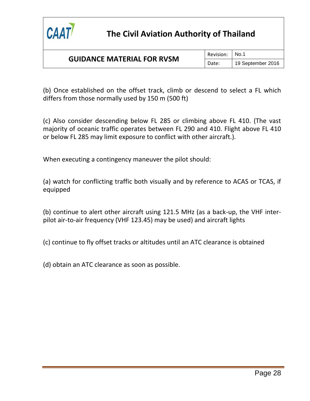

Revision: No.1

Date: | 19 September 2016

(b) Once established on the offset track, climb or descend to select a FL which differs from those normally used by 150 m (500 ft)

(c) Also consider descending below FL 285 or climbing above FL 410. (The vast majority of oceanic traffic operates between FL 290 and 410. Flight above FL 410 or below FL 285 may limit exposure to conflict with other aircraft.).

When executing a contingency maneuver the pilot should:

(a) watch for conflicting traffic both visually and by reference to ACAS or TCAS, if equipped

(b) continue to alert other aircraft using 121.5 MHz (as a back-up, the VHF interpilot air-to-air frequency (VHF 123.45) may be used) and aircraft lights

(c) continue to fly offset tracks or altitudes until an ATC clearance is obtained

(d) obtain an ATC clearance as soon as possible.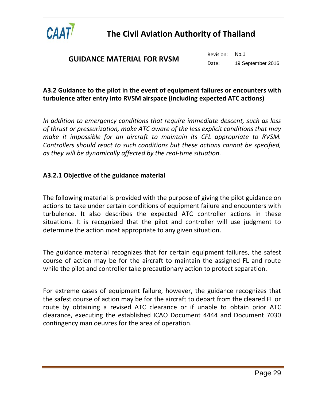

### **A3.2 Guidance to the pilot in the event of equipment failures or encounters with turbulence after entry into RVSM airspace (including expected ATC actions)**

*In addition to emergency conditions that require immediate descent, such as loss of thrust or pressurization, make ATC aware of the less explicit conditions that may make it impossible for an aircraft to maintain its CFL appropriate to RVSM. Controllers should react to such conditions but these actions cannot be specified, as they will be dynamically affected by the real-time situation.*

### **A3.2.1 Objective of the guidance material**

The following material is provided with the purpose of giving the pilot guidance on actions to take under certain conditions of equipment failure and encounters with turbulence. It also describes the expected ATC controller actions in these situations. It is recognized that the pilot and controller will use judgment to determine the action most appropriate to any given situation.

The guidance material recognizes that for certain equipment failures, the safest course of action may be for the aircraft to maintain the assigned FL and route while the pilot and controller take precautionary action to protect separation.

For extreme cases of equipment failure, however, the guidance recognizes that the safest course of action may be for the aircraft to depart from the cleared FL or route by obtaining a revised ATC clearance or if unable to obtain prior ATC clearance, executing the established ICAO Document 4444 and Document 7030 contingency man oeuvres for the area of operation.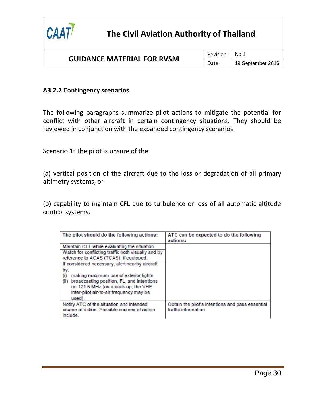

### **GUIDANCE MATERIAL FOR RVSM**

Revision: No.1

Date: | 19 September 2016

#### **A3.2.2 Contingency scenarios**

The following paragraphs summarize pilot actions to mitigate the potential for conflict with other aircraft in certain contingency situations. They should be reviewed in conjunction with the expanded contingency scenarios.

Scenario 1: The pilot is unsure of the:

(a) vertical position of the aircraft due to the loss or degradation of all primary altimetry systems, or

(b) capability to maintain CFL due to turbulence or loss of all automatic altitude control systems.

| The pilot should do the following actions:         | ATC can be expected to do the following<br>actions: |
|----------------------------------------------------|-----------------------------------------------------|
| Maintain CFL while evaluating the situation.       |                                                     |
| Watch for conflicting traffic both visually and by |                                                     |
| reference to ACAS (TCAS), if equipped.             |                                                     |
| If considered necessary, alert nearby aircraft     |                                                     |
| by:                                                |                                                     |
| making maximum use of exterior lights<br>(i)       |                                                     |
| broadcasting position, FL, and intentions<br>(ii)  |                                                     |
| on 121.5 MHz (as a back-up, the VHF                |                                                     |
| inter-pilot air-to-air frequency may be            |                                                     |
| used).                                             |                                                     |
| Notify ATC of the situation and intended           | Obtain the pilot's intentions and pass essential    |
| course of action. Possible courses of action       | traffic information.                                |
| include.                                           |                                                     |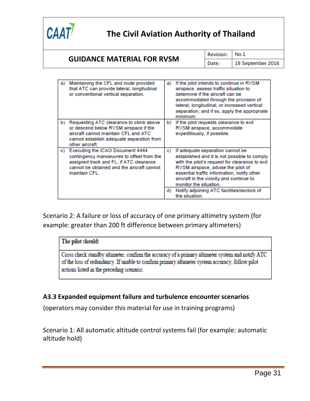

### **GUIDANCE MATERIAL FOR RVSM**

Revision: No.1

Date: | 19 September 2016

| a) | Maintaining the CFL and route provided<br>that ATC can provide lateral, longitudinal<br>or conventional vertical separation.                                                            | a) | If the pilot intends to continue in RVSM<br>airspace, assess traffic situation to<br>determine if the aircraft can be<br>accommodated through the provision of<br>lateral, longitudinal, or increased vertical<br>separation, and if so, apply the appropriate<br>minimum.                    |
|----|-----------------------------------------------------------------------------------------------------------------------------------------------------------------------------------------|----|-----------------------------------------------------------------------------------------------------------------------------------------------------------------------------------------------------------------------------------------------------------------------------------------------|
| b) | Requesting ATC clearance to climb above<br>or descend below RVSM airspace if the<br>aircraft cannot maintain CFL and ATC<br>cannot establish adequate separation from<br>other aircraft | b) | If the pilot requests clearance to exit<br>RVSM airspace, accommodate<br>expeditiously, if possible.                                                                                                                                                                                          |
| c) | Executing the ICAO Document 4444<br>contingency manoeuvres to offset from the<br>assigned track and FL, if ATC clearance<br>cannot be obtained and the aircraft cannot<br>maintain CFL. | C) | If adequate separation cannot be<br>established and it is not possible to comply<br>with the pilot's request for clearance to exit<br>RVSM airspace, advise the pilot of<br>essential traffic information, notify other<br>aircraft in the vicinity and continue to<br>monitor the situation. |
|    |                                                                                                                                                                                         | d) | Notify adjoining ATC facilities/sectors of<br>the situation.                                                                                                                                                                                                                                  |

Scenario 2: A failure or loss of accuracy of one primary altimetry system (for example: greater than 200 ft difference between primary altimeters)

### The pilot should:

Cross check standby altimeter, confirm the accuracy of a primary altimeter system and notify ATC of the loss of redundancy. If unable to confirm primary altimeter system accuracy, follow pilot actions listed in the preceding scenario.

### **A3.3 Expanded equipment failure and turbulence encounter scenarios**

(operators may consider this material for use in training programs)

Scenario 1: All automatic altitude control systems fail (for example: automatic altitude hold)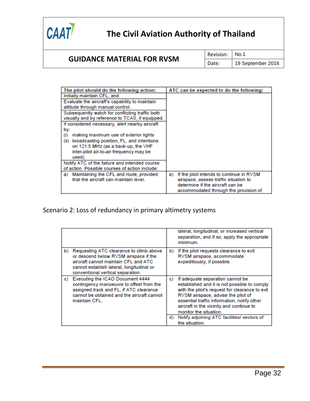

### **GUIDANCE MATERIAL FOR RVSM**

Revision: | No.1

Date: | 19 September 2016

| The pilot should do the following action:         | ATC can be expected to do the following:       |
|---------------------------------------------------|------------------------------------------------|
| Initially maintain CFL, and                       |                                                |
| Evaluate the aircraft's capability to maintain    |                                                |
| altitude through manual control.                  |                                                |
| Subsequently watch for conflicting traffic both   |                                                |
| visually and by reference to TCAS, if equipped.   |                                                |
| If considered necessary, alert nearby aircraft    |                                                |
| by:                                               |                                                |
| making maximum use of exterior lights<br>(i)      |                                                |
| broadcasting position, FL, and intentions<br>(ii) |                                                |
| on 121.5 MHz (as a back-up, the VHF               |                                                |
| inter-pilot air-to-air frequency may be           |                                                |
| used).                                            |                                                |
| Notify ATC of the failure and intended course     |                                                |
| of action. Possible courses of action include:    |                                                |
| Maintaining the CFL and route, provided<br>a)     | If the pilot intends to continue in RVSM<br>a) |
| that the aircraft can maintain level.             | airspace, assess traffic situation to          |
|                                                   | determine if the aircraft can be               |
|                                                   | accommodated through the provision of          |

Scenario 2: Loss of redundancy in primary altimetry systems

|    |                                                                                                                                                                                                            |    | lateral, longitudinal, or increased vertical<br>separation, and if so, apply the appropriate<br>minimum.                                                                                                                                                                                      |
|----|------------------------------------------------------------------------------------------------------------------------------------------------------------------------------------------------------------|----|-----------------------------------------------------------------------------------------------------------------------------------------------------------------------------------------------------------------------------------------------------------------------------------------------|
| b) | Requesting ATC clearance to climb above<br>or descend below RVSM airspace if the<br>aircraft cannot maintain CFL and ATC<br>cannot establish lateral, longitudinal or<br>conventional vertical separation. | b) | If the pilot requests clearance to exit<br>RVSM airspace, accommodate<br>expeditiously, if possible.                                                                                                                                                                                          |
| C) | Executing the ICAO Document 4444<br>contingency manoeuvre to offset from the<br>assigned track and FL, if ATC clearance<br>cannot be obtained and the aircraft cannot<br>maintain CFL.                     | c) | If adequate separation cannot be<br>established and it is not possible to comply<br>with the pilot's request for clearance to exit<br>RVSM airspace, advise the pilot of<br>essential traffic information, notify other<br>aircraft in the vicinity and continue to<br>monitor the situation. |
|    |                                                                                                                                                                                                            | d) | Notify adjoining ATC facilities/ sectors of<br>the situation.                                                                                                                                                                                                                                 |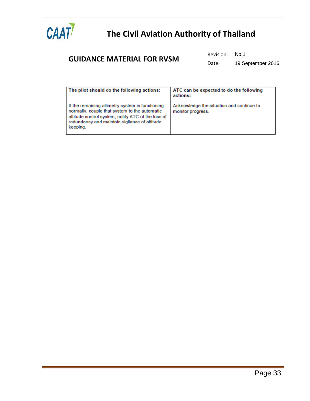

### **GUIDANCE MATERIAL FOR RVSM**

Revision: No.1

Date: | 19 September 2016

| The pilot should do the following actions:                                                                                                                                                                           | ATC can be expected to do the following<br>actions:            |
|----------------------------------------------------------------------------------------------------------------------------------------------------------------------------------------------------------------------|----------------------------------------------------------------|
| If the remaining altimetry system is functioning<br>normally, couple that system to the automatic<br>altitude control system, notify ATC of the loss of<br>redundancy and maintain vigilance of altitude<br>keeping. | Acknowledge the situation and continue to<br>monitor progress. |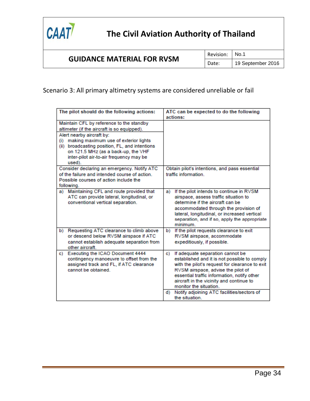

### Scenario 3: All primary altimetry systems are considered unreliable or fail

| The pilot should do the following actions:                                                                                                                                                                                                                                                                      | ATC can be expected to do the following<br>actions:                                                                                                                                                                                                                                                                                                      |  |
|-----------------------------------------------------------------------------------------------------------------------------------------------------------------------------------------------------------------------------------------------------------------------------------------------------------------|----------------------------------------------------------------------------------------------------------------------------------------------------------------------------------------------------------------------------------------------------------------------------------------------------------------------------------------------------------|--|
| Maintain CFL by reference to the standby<br>altimeter (if the aircraft is so equipped).<br>Alert nearby aircraft by:<br>(i) making maximum use of exterior lights<br>(ii) broadcasting position, FL, and intentions<br>on 121.5 MHz (as a back-up, the VHF<br>inter-pilot air-to-air frequency may be<br>used). |                                                                                                                                                                                                                                                                                                                                                          |  |
| Consider declaring an emergency. Notify ATC<br>of the failure and intended course of action.<br>Possible courses of action include the<br>following.                                                                                                                                                            | Obtain pilot's intentions, and pass essential<br>traffic information                                                                                                                                                                                                                                                                                     |  |
| Maintaining CFL and route provided that<br>a)<br>ATC can provide lateral, longitudinal, or<br>conventional vertical separation.                                                                                                                                                                                 | If the pilot intends to continue in RVSM<br>a)<br>airspace, assess traffic situation to<br>determine if the aircraft can be<br>accommodated through the provision of<br>lateral, longitudinal, or increased vertical<br>separation, and if so, apply the appropriate<br>minimum                                                                          |  |
| Requesting ATC clearance to climb above<br>b)<br>or descend below RVSM airspace if ATC<br>cannot establish adequate separation from<br>other aircraft                                                                                                                                                           | If the pilot requests clearance to exit<br>b)<br>RVSM airspace, accommodate<br>expeditiously, if possible.                                                                                                                                                                                                                                               |  |
| Executing the ICAO Document 4444<br>C)<br>contingency manoeuvre to offset from the<br>assigned track and FL, if ATC clearance<br>cannot be obtained.                                                                                                                                                            | If adequate separation cannot be<br>c)<br>established and it is not possible to comply<br>with the pilot's request for clearance to exit<br>RVSM airspace, advise the pilot of<br>essential traffic information, notify other<br>aircraft in the vicinity and continue to<br>monitor the situation.<br>Notify adjoining ATC facilities/sectors of<br>d). |  |
|                                                                                                                                                                                                                                                                                                                 | the situation.                                                                                                                                                                                                                                                                                                                                           |  |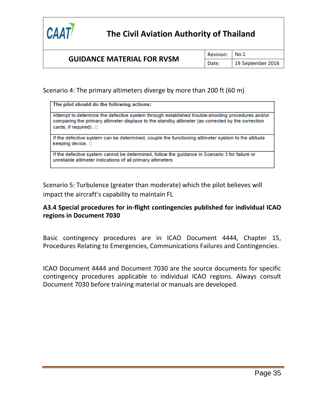

Scenario 4: The primary altimeters diverge by more than 200 ft (60 m)

| The pilot should do the following actions:                                                                                                                                                                                              |  |
|-----------------------------------------------------------------------------------------------------------------------------------------------------------------------------------------------------------------------------------------|--|
| Attempt to determine the defective system through established trouble-shooting procedures and/or<br>comparing the primary altimeter displace to the standby altimeter (as corrected by the correction<br>cards, if required). $\square$ |  |
| If the defective system can be determined, couple the functioning altimeter system to the altitude<br>keeping device. $\square$                                                                                                         |  |
| If the defective system cannot be determined, follow the guidance in Scenario 3 for failure or<br>unreliable altimeter indications of all primary altimeters.                                                                           |  |

Scenario 5: Turbulence (greater than moderate) which the pilot believes will impact the aircraft's capability to maintain FL

### **A3.4 Special procedures for in-flight contingencies published for individual ICAO regions in Document 7030**

Basic contingency procedures are in ICAO Document 4444, Chapter 15, Procedures Relating to Emergencies, Communications Failures and Contingencies.

ICAO Document 4444 and Document 7030 are the source documents for specific contingency procedures applicable to individual ICAO regions. Always consult Document 7030 before training material or manuals are developed.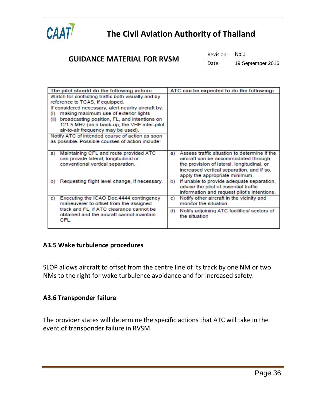

### **GUIDANCE MATERIAL FOR RVSM**

Revision: | No.1

Date: | 19 September 2016

| The pilot should do the following action:                                                                                                                                                                                                                                                                                                                                                                                                             | ATC can be expected to do the following:                                                                                                                                                                                |
|-------------------------------------------------------------------------------------------------------------------------------------------------------------------------------------------------------------------------------------------------------------------------------------------------------------------------------------------------------------------------------------------------------------------------------------------------------|-------------------------------------------------------------------------------------------------------------------------------------------------------------------------------------------------------------------------|
| Watch for conflicting traffic both visually and by<br>reference to TCAS, if equipped.<br>If considered necessary, alert nearby aircraft by:<br>making maximum use of exterior lights<br>$\bf(i)$<br>broadcasting position, FL, and intentions on<br>(ii)<br>121.5 MHz (as a back-up, the VHF inter-pilot<br>air-to-air frequency may be used).<br>Notify ATC of intended course of action as soon<br>as possible. Possible courses of action include: |                                                                                                                                                                                                                         |
| Maintaining CFL and route provided ATC<br>a)<br>can provide lateral, longitudinal or<br>conventional vertical separation.                                                                                                                                                                                                                                                                                                                             | Assess traffic situation to determine if the<br>a)<br>aircraft can be accommodated through<br>the provision of lateral, longitudinal, or<br>increased vertical separation, and if so,<br>apply the appropriate minimum. |
| Requesting flight level change, if necessary.<br>b)                                                                                                                                                                                                                                                                                                                                                                                                   | If unable to provide adequate separation,<br>b)<br>advise the pilot of essential traffic<br>information and request pilot's intentions.                                                                                 |
| Executing the ICAO Doc.4444 contingency<br>c)<br>maneuverer to offset from the assigned                                                                                                                                                                                                                                                                                                                                                               | Notify other aircraft in the vicinity and<br>c)<br>monitor the situation.                                                                                                                                               |
| track and FL, if ATC clearance cannot be<br>obtained and the aircraft cannot maintain<br>CFL.                                                                                                                                                                                                                                                                                                                                                         | d)<br>Notify adjoining ATC facilities/ sectors of<br>the situation                                                                                                                                                      |

#### **A3.5 Wake turbulence procedures**

SLOP allows aircraft to offset from the centre line of its track by one NM or two NMs to the right for wake turbulence avoidance and for increased safety.

#### **A3.6 Transponder failure**

The provider states will determine the specific actions that ATC will take in the event of transponder failure in RVSM.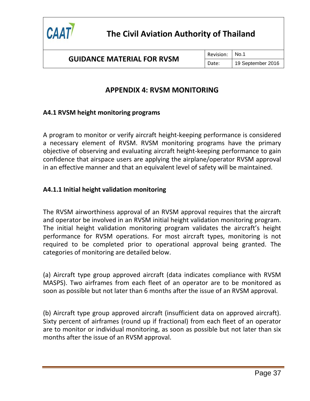

Revision: No.1 Date: | 19 September 2016

### **APPENDIX 4: RVSM MONITORING**

### <span id="page-49-0"></span>**A4.1 RVSM height monitoring programs**

A program to monitor or verify aircraft height-keeping performance is considered a necessary element of RVSM. RVSM monitoring programs have the primary objective of observing and evaluating aircraft height-keeping performance to gain confidence that airspace users are applying the airplane/operator RVSM approval in an effective manner and that an equivalent level of safety will be maintained.

### **A4.1.1 Initial height validation monitoring**

The RVSM airworthiness approval of an RVSM approval requires that the aircraft and operator be involved in an RVSM initial height validation monitoring program. The initial height validation monitoring program validates the aircraft's height performance for RVSM operations. For most aircraft types, monitoring is not required to be completed prior to operational approval being granted. The categories of monitoring are detailed below.

(a) Aircraft type group approved aircraft (data indicates compliance with RVSM MASPS). Two airframes from each fleet of an operator are to be monitored as soon as possible but not later than 6 months after the issue of an RVSM approval.

(b) Aircraft type group approved aircraft (insufficient data on approved aircraft). Sixty percent of airframes (round up if fractional) from each fleet of an operator are to monitor or individual monitoring, as soon as possible but not later than six months after the issue of an RVSM approval.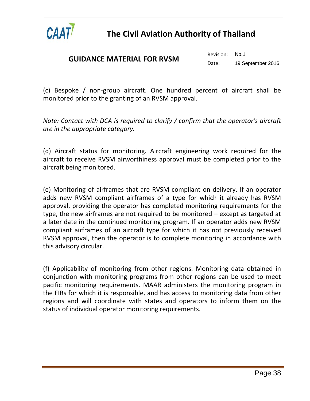

### **GUIDANCE MATERIAL FOR RVSM**

(c) Bespoke / non-group aircraft. One hundred percent of aircraft shall be monitored prior to the granting of an RVSM approval.

*Note: Contact with DCA is required to clarify / confirm that the operator's aircraft are in the appropriate category.*

(d) Aircraft status for monitoring. Aircraft engineering work required for the aircraft to receive RVSM airworthiness approval must be completed prior to the aircraft being monitored.

(e) Monitoring of airframes that are RVSM compliant on delivery. If an operator adds new RVSM compliant airframes of a type for which it already has RVSM approval, providing the operator has completed monitoring requirements for the type, the new airframes are not required to be monitored – except as targeted at a later date in the continued monitoring program. If an operator adds new RVSM compliant airframes of an aircraft type for which it has not previously received RVSM approval, then the operator is to complete monitoring in accordance with this advisory circular.

(f) Applicability of monitoring from other regions. Monitoring data obtained in conjunction with monitoring programs from other regions can be used to meet pacific monitoring requirements. MAAR administers the monitoring program in the FIRs for which it is responsible, and has access to monitoring data from other regions and will coordinate with states and operators to inform them on the status of individual operator monitoring requirements.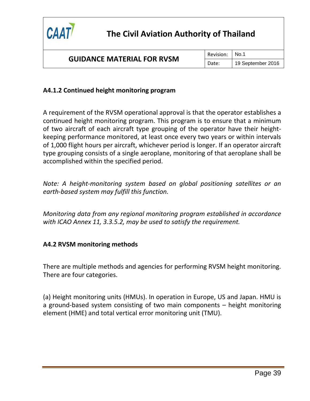

Revision: No.1

Date: | 19 September 2016

### **A4.1.2 Continued height monitoring program**

A requirement of the RVSM operational approval is that the operator establishes a continued height monitoring program. This program is to ensure that a minimum of two aircraft of each aircraft type grouping of the operator have their heightkeeping performance monitored, at least once every two years or within intervals of 1,000 flight hours per aircraft, whichever period is longer. If an operator aircraft type grouping consists of a single aeroplane, monitoring of that aeroplane shall be accomplished within the specified period.

*Note: A height-monitoring system based on global positioning satellites or an earth-based system may fulfill this function.*

*Monitoring data from any regional monitoring program established in accordance with ICAO Annex 11, 3.3.5.2, may be used to satisfy the requirement.*

### **A4.2 RVSM monitoring methods**

There are multiple methods and agencies for performing RVSM height monitoring. There are four categories.

(a) Height monitoring units (HMUs). In operation in Europe, US and Japan. HMU is a ground-based system consisting of two main components – height monitoring element (HME) and total vertical error monitoring unit (TMU).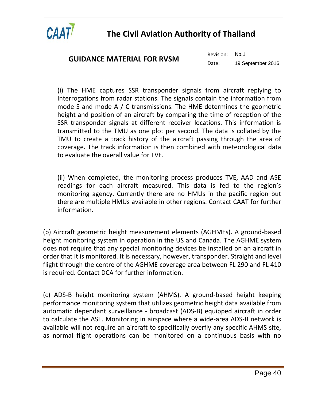

### **GUIDANCE MATERIAL FOR RVSM**

Revision: No.1

Date: | 19 September 2016

(i) The HME captures SSR transponder signals from aircraft replying to Interrogations from radar stations. The signals contain the information from mode S and mode A / C transmissions. The HME determines the geometric height and position of an aircraft by comparing the time of reception of the SSR transponder signals at different receiver locations. This information is transmitted to the TMU as one plot per second. The data is collated by the TMU to create a track history of the aircraft passing through the area of coverage. The track information is then combined with meteorological data to evaluate the overall value for TVE.

(ii) When completed, the monitoring process produces TVE, AAD and ASE readings for each aircraft measured. This data is fed to the region's monitoring agency. Currently there are no HMUs in the pacific region but there are multiple HMUs available in other regions. Contact CAAT for further information.

(b) Aircraft geometric height measurement elements (AGHMEs). A ground-based height monitoring system in operation in the US and Canada. The AGHME system does not require that any special monitoring devices be installed on an aircraft in order that it is monitored. It is necessary, however, transponder. Straight and level flight through the centre of the AGHME coverage area between FL 290 and FL 410 is required. Contact DCA for further information.

(c) ADS-B height monitoring system (AHMS). A ground-based height keeping performance monitoring system that utilizes geometric height data available from automatic dependant surveillance - broadcast (ADS-B) equipped aircraft in order to calculate the ASE. Monitoring in airspace where a wide-area ADS-B network is available will not require an aircraft to specifically overfly any specific AHMS site, as normal flight operations can be monitored on a continuous basis with no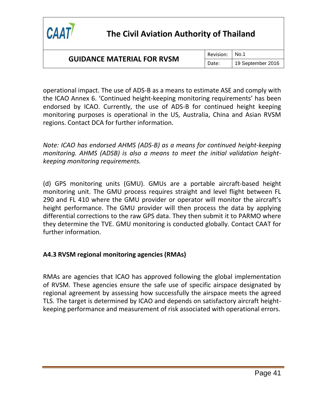

### **GUIDANCE MATERIAL FOR RVSM**

Revision: No.1

Date: | 19 September 2016

operational impact. The use of ADS-B as a means to estimate ASE and comply with the ICAO Annex 6. 'Continued height-keeping monitoring requirements' has been endorsed by ICAO. Currently, the use of ADS-B for continued height keeping monitoring purposes is operational in the US, Australia, China and Asian RVSM regions. Contact DCA for further information.

*Note: ICAO has endorsed AHMS (ADS-B) as a means for continued height-keeping monitoring. AHMS (ADSB) is also a means to meet the initial validation heightkeeping monitoring requirements.*

(d) GPS monitoring units (GMU). GMUs are a portable aircraft-based height monitoring unit. The GMU process requires straight and level flight between FL 290 and FL 410 where the GMU provider or operator will monitor the aircraft's height performance. The GMU provider will then process the data by applying differential corrections to the raw GPS data. They then submit it to PARMO where they determine the TVE. GMU monitoring is conducted globally. Contact CAAT for further information.

### **A4.3 RVSM regional monitoring agencies (RMAs)**

RMAs are agencies that ICAO has approved following the global implementation of RVSM. These agencies ensure the safe use of specific airspace designated by regional agreement by assessing how successfully the airspace meets the agreed TLS. The target is determined by ICAO and depends on satisfactory aircraft heightkeeping performance and measurement of risk associated with operational errors.